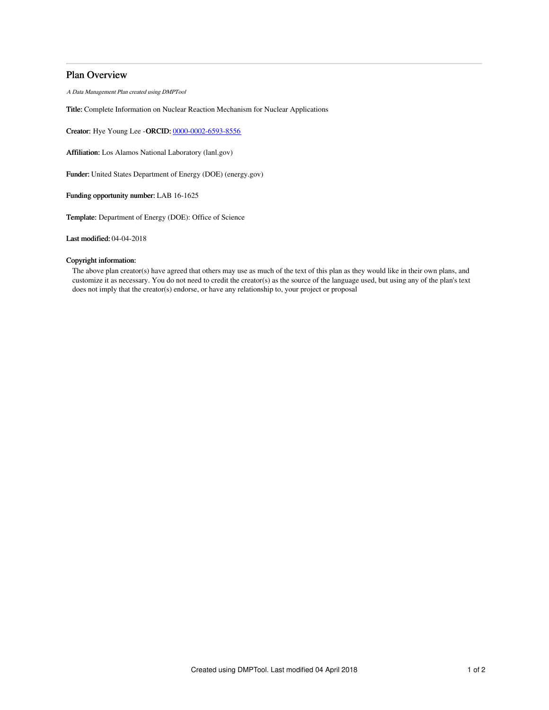# Plan Overview

A Data Management Plan created using DMPTool

Title: Complete Information on Nuclear Reaction Mechanism for Nuclear Applications

Creator: Hye Young Lee -ORCID: [0000-0002-6593-8556](https://orcid.org/0000-0002-6593-8556)

Affiliation: Los Alamos National Laboratory (lanl.gov)

Funder: United States Department of Energy (DOE) (energy.gov)

Funding opportunity number: LAB 16-1625

Template: Department of Energy (DOE): Office of Science

Last modified: 04-04-2018

## Copyright information:

The above plan creator(s) have agreed that others may use as much of the text of this plan as they would like in their own plans, and customize it as necessary. You do not need to credit the creator(s) as the source of the language used, but using any of the plan's text does not imply that the creator(s) endorse, or have any relationship to, your project or proposal